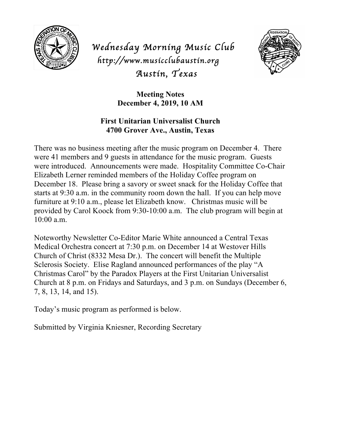

*Wednesday Morning Music Club http://www.musicclubaustin.org Austin, Texas* 



**Meeting Notes December 4, 2019, 10 AM**

## **First Unitarian Universalist Church 4700 Grover Ave., Austin, Texas**

There was no business meeting after the music program on December 4. There were 41 members and 9 guests in attendance for the music program. Guests were introduced. Announcements were made. Hospitality Committee Co-Chair Elizabeth Lerner reminded members of the Holiday Coffee program on December 18. Please bring a savory or sweet snack for the Holiday Coffee that starts at 9:30 a.m. in the community room down the hall. If you can help move furniture at 9:10 a.m., please let Elizabeth know. Christmas music will be provided by Carol Koock from 9:30-10:00 a.m. The club program will begin at 10:00 a.m.

Noteworthy Newsletter Co-Editor Marie White announced a Central Texas Medical Orchestra concert at 7:30 p.m. on December 14 at Westover Hills Church of Christ (8332 Mesa Dr.). The concert will benefit the Multiple Sclerosis Society. Elise Ragland announced performances of the play "A Christmas Carol" by the Paradox Players at the First Unitarian Universalist Church at 8 p.m. on Fridays and Saturdays, and 3 p.m. on Sundays (December 6, 7, 8, 13, 14, and 15).

Today's music program as performed is below.

Submitted by Virginia Kniesner, Recording Secretary